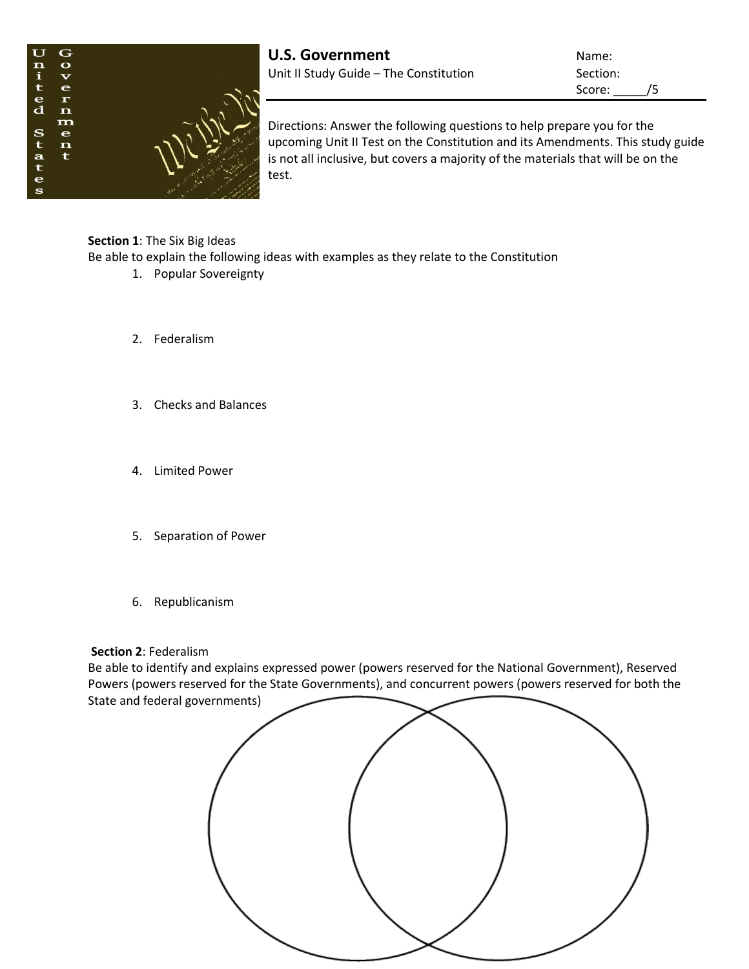

Score: /5

Directions: Answer the following questions to help prepare you for the upcoming Unit II Test on the Constitution and its Amendments. This study guide is not all inclusive, but covers a majority of the materials that will be on the test.

## **Section 1**: The Six Big Ideas

Be able to explain the following ideas with examples as they relate to the Constitution

- 1. Popular Sovereignty
- 2. Federalism
- 3. Checks and Balances
- 4. Limited Power
- 5. Separation of Power
- 6. Republicanism

## **Section 2**: Federalism

Be able to identify and explains expressed power (powers reserved for the National Government), Reserved Powers (powers reserved for the State Governments), and concurrent powers (powers reserved for both the State and federal governments)

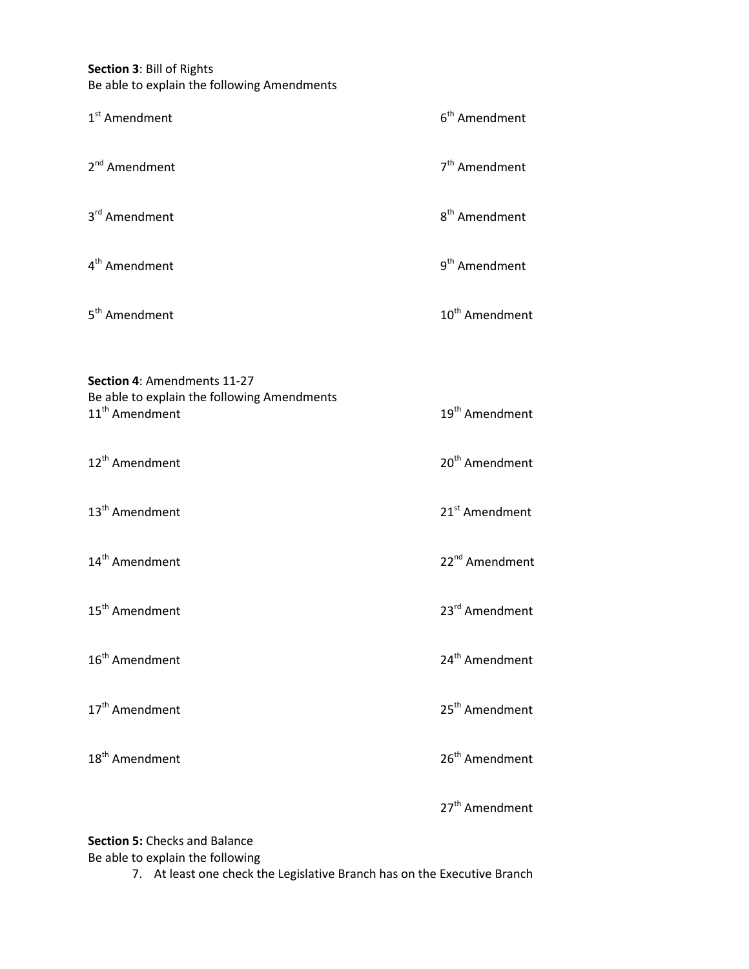**Section 3**: Bill of Rights Be able to explain the following Amendments

| 1 <sup>st</sup> Amendment                                                                                | 6 <sup>th</sup> Amendment  |
|----------------------------------------------------------------------------------------------------------|----------------------------|
| 2 <sup>nd</sup> Amendment                                                                                | 7 <sup>th</sup> Amendment  |
| 3 <sup>rd</sup> Amendment                                                                                | 8 <sup>th</sup> Amendment  |
| 4 <sup>th</sup> Amendment                                                                                | 9 <sup>th</sup> Amendment  |
| 5 <sup>th</sup> Amendment                                                                                | 10 <sup>th</sup> Amendment |
| Section 4: Amendments 11-27<br>Be able to explain the following Amendments<br>11 <sup>th</sup> Amendment | 19 <sup>th</sup> Amendment |
| 12 <sup>th</sup> Amendment                                                                               | 20 <sup>th</sup> Amendment |
| 13 <sup>th</sup> Amendment                                                                               | 21 <sup>st</sup> Amendment |
| 14 <sup>th</sup> Amendment                                                                               | 22 <sup>nd</sup> Amendment |
| 15 <sup>th</sup> Amendment                                                                               | 23rd Amendment             |
| 16 <sup>th</sup> Amendment                                                                               | 24 <sup>th</sup> Amendment |
| 17 <sup>th</sup> Amendment                                                                               | 25 <sup>th</sup> Amendment |
| 18 <sup>th</sup> Amendment                                                                               | 26 <sup>th</sup> Amendment |
|                                                                                                          | 27 <sup>th</sup> Amendment |

**Section 5:** Checks and Balance

Be able to explain the following

7. At least one check the Legislative Branch has on the Executive Branch